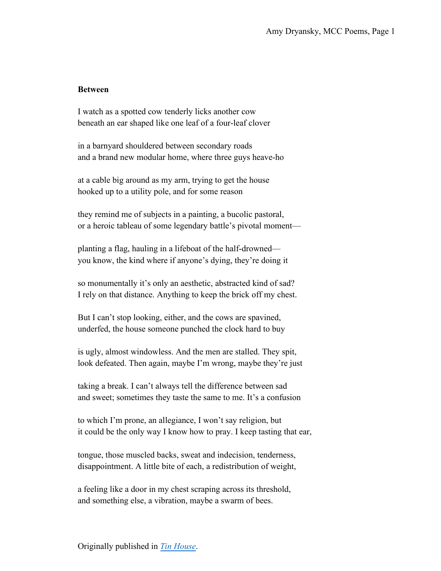## **Between**

I watch as a spotted cow tenderly licks another cow beneath an ear shaped like one leaf of a four-leaf clover

in a barnyard shouldered between secondary roads and a brand new modular home, where three guys heave-ho

at a cable big around as my arm, trying to get the house hooked up to a utility pole, and for some reason

they remind me of subjects in a painting, a bucolic pastoral, or a heroic tableau of some legendary battle's pivotal moment—

planting a flag, hauling in a lifeboat of the half-drowned you know, the kind where if anyone's dying, they're doing it

so monumentally it's only an aesthetic, abstracted kind of sad? I rely on that distance. Anything to keep the brick off my chest.

But I can't stop looking, either, and the cows are spavined, underfed, the house someone punched the clock hard to buy

is ugly, almost windowless. And the men are stalled. They spit, look defeated. Then again, maybe I'm wrong, maybe they're just

taking a break. I can't always tell the difference between sad and sweet; sometimes they taste the same to me. It's a confusion

to which I'm prone, an allegiance, I won't say religion, but it could be the only way I know how to pray. I keep tasting that ear,

tongue, those muscled backs, sweat and indecision, tenderness, disappointment. A little bite of each, a redistribution of weight,

a feeling like a door in my chest scraping across its threshold, and something else, a vibration, maybe a swarm of bees.

Originally published in *[Tin House](https://tinhouse.com/product/winter-reading-19/)*.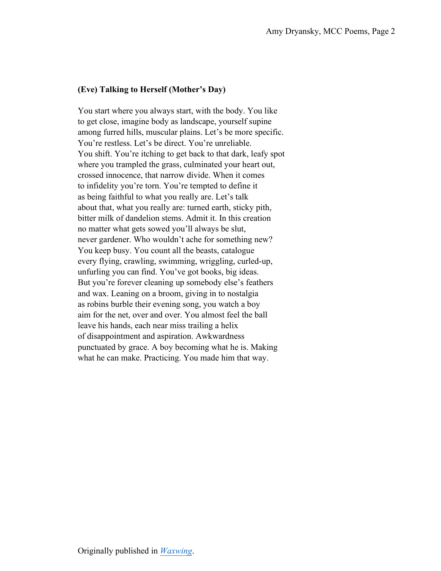## **(Eve) Talking to Herself (Mother's Day)**

You start where you always start, with the body. You like to get close, imagine body as landscape, yourself supine among furred hills, muscular plains. Let's be more specific. You're restless. Let's be direct. You're unreliable. You shift. You're itching to get back to that dark, leafy spot where you trampled the grass, culminated your heart out, crossed innocence, that narrow divide. When it comes to infidelity you're torn. You're tempted to define it as being faithful to what you really are. Let's talk about that, what you really are: turned earth, sticky pith, bitter milk of dandelion stems. Admit it. In this creation no matter what gets sowed you'll always be slut, never gardener. Who wouldn't ache for something new? You keep busy. You count all the beasts, catalogue every flying, crawling, swimming, wriggling, curled-up, unfurling you can find. You've got books, big ideas. But you're forever cleaning up somebody else's feathers and wax. Leaning on a broom, giving in to nostalgia as robins burble their evening song, you watch a boy aim for the net, over and over. You almost feel the ball leave his hands, each near miss trailing a helix of disappointment and aspiration. Awkwardness punctuated by grace. A boy becoming what he is. Making what he can make. Practicing. You made him that way.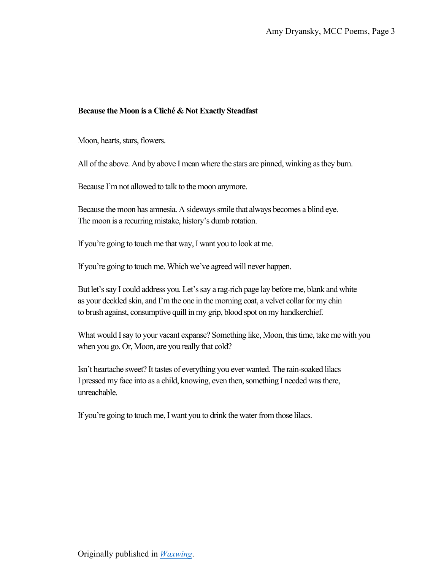## **Because the Moon is a Cliché & Not Exactly Steadfast**

Moon, hearts, stars, flowers.

All of the above. And by above I mean where the stars are pinned, winking as they burn.

Because I'm not allowed to talk to the moon anymore.

Because the moon has amnesia. A sideways smile that always becomes a blind eye. The moon is a recurring mistake, history's dumb rotation.

If you're going to touch me that way, I want you to look at me.

If you're going to touch me. Which we've agreed will never happen.

But let's say I could address you. Let's say a rag-rich page lay before me, blank and white as your deckled skin, and I'm the one in the morning coat, a velvet collar for my chin to brush against, consumptive quill in my grip, blood spot on my handkerchief.

What would I say to your vacant expanse? Something like, Moon, this time, take me with you when you go. Or, Moon, are you really that cold?

Isn't heartache sweet? It tastes of everything you ever wanted. The rain-soaked lilacs I pressed my face into as a child, knowing, even then, something I needed was there, unreachable.

If you're going to touch me, I want you to drink the water from those lilacs.